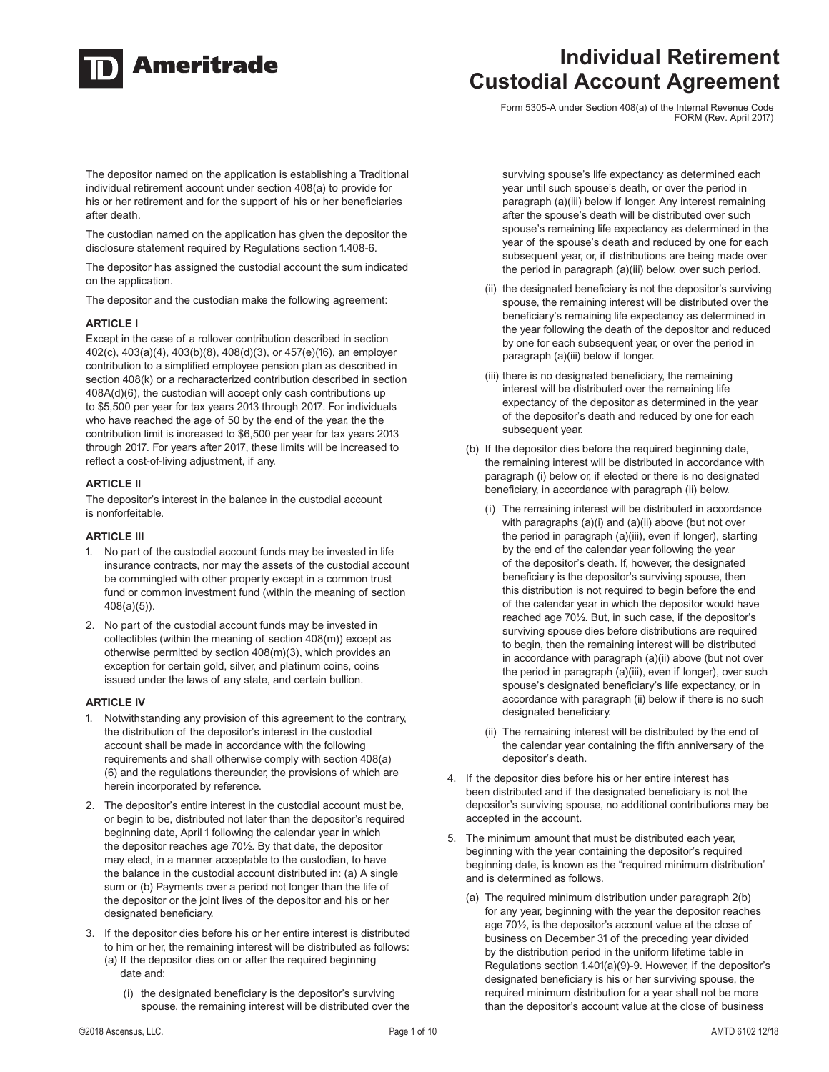

# **Individual Retirement Custodial Account Agreement**

Form 5305-A under Section 408(a) of the Internal Revenue Code FORM (Rev. April 2017)

The depositor named on the application is establishing a Traditional individual retirement account under section 408(a) to provide for his or her retirement and for the support of his or her beneficiaries after death.

The custodian named on the application has given the depositor the disclosure statement required by Regulations section 1.408-6.

The depositor has assigned the custodial account the sum indicated on the application.

The depositor and the custodian make the following agreement:

### **ARTICLE I**

Except in the case of a rollover contribution described in section 402(c), 403(a)(4), 403(b)(8), 408(d)(3), or 457(e)(16), an employer contribution to a simplified employee pension plan as described in section 408(k) or a recharacterized contribution described in section 408A(d)(6), the custodian will accept only cash contributions up to \$5,500 per year for tax years 2013 through 2017. For individuals who have reached the age of 50 by the end of the year, the the contribution limit is increased to \$6,500 per year for tax years 2013 through 2017. For years after 2017, these limits will be increased to reflect a cost-of-living adjustment, if any.

### **ARTICLE II**

The depositor's interest in the balance in the custodial account is nonforfeitable.

#### **ARTICLE III**

- 1. No part of the custodial account funds may be invested in life insurance contracts, nor may the assets of the custodial account be commingled with other property except in a common trust fund or common investment fund (within the meaning of section 408(a)(5)).
- 2. No part of the custodial account funds may be invested in collectibles (within the meaning of section 408(m)) except as otherwise permitted by section 408(m)(3), which provides an exception for certain gold, silver, and platinum coins, coins issued under the laws of any state, and certain bullion.

#### **ARTICLE IV**

- 1. Notwithstanding any provision of this agreement to the contrary, the distribution of the depositor's interest in the custodial account shall be made in accordance with the following requirements and shall otherwise comply with section 408(a) (6) and the regulations thereunder, the provisions of which are herein incorporated by reference.
- 2. The depositor's entire interest in the custodial account must be, or begin to be, distributed not later than the depositor's required beginning date, April 1 following the calendar year in which the depositor reaches age 70½. By that date, the depositor may elect, in a manner acceptable to the custodian, to have the balance in the custodial account distributed in: (a) A single sum or (b) Payments over a period not longer than the life of the depositor or the joint lives of the depositor and his or her designated beneficiary.
- 3. If the depositor dies before his or her entire interest is distributed to him or her, the remaining interest will be distributed as follows: (a) If the depositor dies on or after the required beginning date and:
	- (i) the designated beneficiary is the depositor's surviving spouse, the remaining interest will be distributed over the

surviving spouse's life expectancy as determined each year until such spouse's death, or over the period in paragraph (a)(iii) below if longer. Any interest remaining after the spouse's death will be distributed over such spouse's remaining life expectancy as determined in the year of the spouse's death and reduced by one for each subsequent year, or, if distributions are being made over the period in paragraph (a)(iii) below, over such period.

- (ii) the designated beneficiary is not the depositor's surviving spouse, the remaining interest will be distributed over the beneficiary's remaining life expectancy as determined in the year following the death of the depositor and reduced by one for each subsequent year, or over the period in paragraph (a)(iii) below if longer.
- (iii) there is no designated beneficiary, the remaining interest will be distributed over the remaining life expectancy of the depositor as determined in the year of the depositor's death and reduced by one for each subsequent year.
- (b) If the depositor dies before the required beginning date, the remaining interest will be distributed in accordance with paragraph (i) below or, if elected or there is no designated beneficiary, in accordance with paragraph (ii) below.
	- (i) The remaining interest will be distributed in accordance with paragraphs (a)(i) and (a)(ii) above (but not over the period in paragraph (a)(iii), even if longer), starting by the end of the calendar year following the year of the depositor's death. If, however, the designated beneficiary is the depositor's surviving spouse, then this distribution is not required to begin before the end of the calendar year in which the depositor would have reached age 70½. But, in such case, if the depositor's surviving spouse dies before distributions are required to begin, then the remaining interest will be distributed in accordance with paragraph (a)(ii) above (but not over the period in paragraph (a)(iii), even if longer), over such spouse's designated beneficiary's life expectancy, or in accordance with paragraph (ii) below if there is no such designated beneficiary.
	- (ii) The remaining interest will be distributed by the end of the calendar year containing the fifth anniversary of the depositor's death.
- 4. If the depositor dies before his or her entire interest has been distributed and if the designated beneficiary is not the depositor's surviving spouse, no additional contributions may be accepted in the account.
- 5. The minimum amount that must be distributed each year, beginning with the year containing the depositor's required beginning date, is known as the "required minimum distribution" and is determined as follows.
	- (a) The required minimum distribution under paragraph 2(b) for any year, beginning with the year the depositor reaches age 70½, is the depositor's account value at the close of business on December 31 of the preceding year divided by the distribution period in the uniform lifetime table in Regulations section 1.401(a)(9)-9. However, if the depositor's designated beneficiary is his or her surviving spouse, the required minimum distribution for a year shall not be more than the depositor's account value at the close of business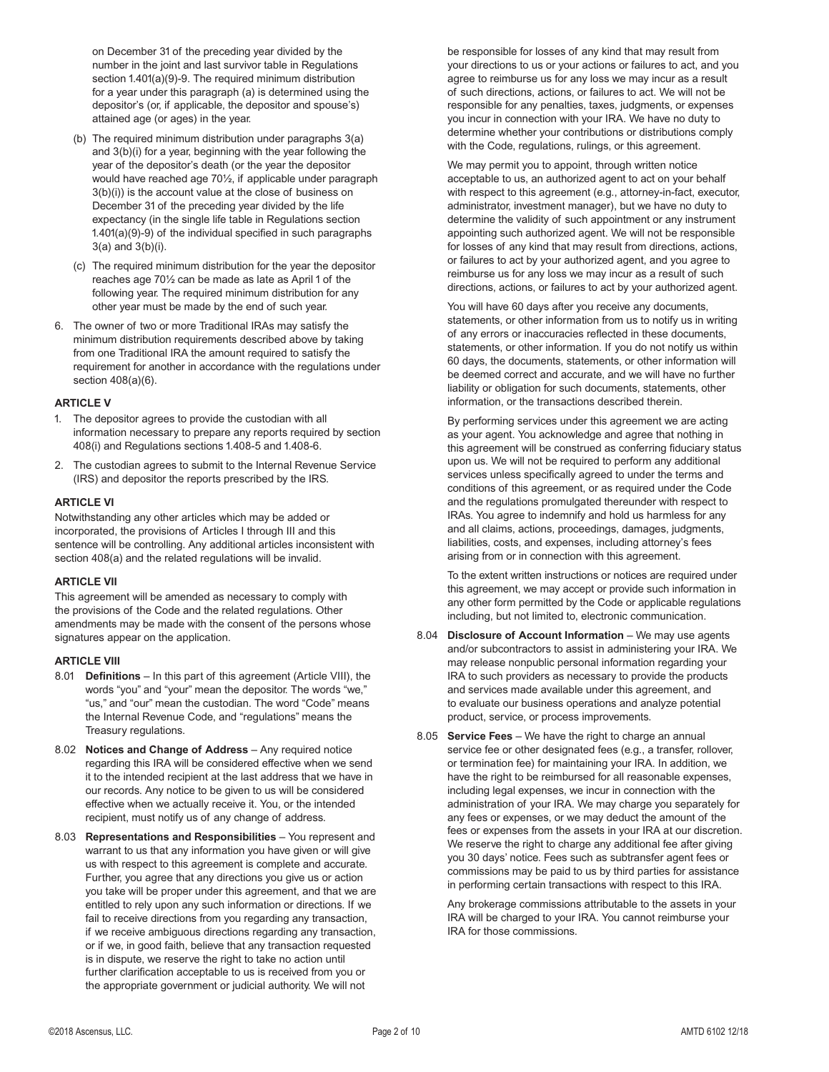on December 31 of the preceding year divided by the number in the joint and last survivor table in Regulations section 1.401(a)(9)-9. The required minimum distribution for a year under this paragraph (a) is determined using the depositor's (or, if applicable, the depositor and spouse's) attained age (or ages) in the year.

- (b) The required minimum distribution under paragraphs 3(a) and 3(b)(i) for a year, beginning with the year following the year of the depositor's death (or the year the depositor would have reached age 70½, if applicable under paragraph 3(b)(i)) is the account value at the close of business on December 31 of the preceding year divided by the life expectancy (in the single life table in Regulations section 1.401(a)(9)-9) of the individual specified in such paragraphs 3(a) and 3(b)(i).
- (c) The required minimum distribution for the year the depositor reaches age 70½ can be made as late as April 1 of the following year. The required minimum distribution for any other year must be made by the end of such year.
- 6. The owner of two or more Traditional IRAs may satisfy the minimum distribution requirements described above by taking from one Traditional IRA the amount required to satisfy the requirement for another in accordance with the regulations under section 408(a)(6).

#### **ARTICLE V**

- 1. The depositor agrees to provide the custodian with all information necessary to prepare any reports required by section 408(i) and Regulations sections 1.408-5 and 1.408-6.
- 2. The custodian agrees to submit to the Internal Revenue Service (IRS) and depositor the reports prescribed by the IRS.

### **ARTICLE VI**

Notwithstanding any other articles which may be added or incorporated, the provisions of Articles I through III and this sentence will be controlling. Any additional articles inconsistent with section 408(a) and the related regulations will be invalid.

#### **ARTICLE VII**

This agreement will be amended as necessary to comply with the provisions of the Code and the related regulations. Other amendments may be made with the consent of the persons whose signatures appear on the application.

#### **ARTICLE VIII**

- 8.01 **Definitions** In this part of this agreement (Article VIII), the words "you" and "your" mean the depositor. The words "we," "us," and "our" mean the custodian. The word "Code" means the Internal Revenue Code, and "regulations" means the Treasury regulations.
- 8.02 **Notices and Change of Address**  Any required notice regarding this IRA will be considered effective when we send it to the intended recipient at the last address that we have in our records. Any notice to be given to us will be considered effective when we actually receive it. You, or the intended recipient, must notify us of any change of address.
- 8.03 **Representations and Responsibilities** You represent and warrant to us that any information you have given or will give us with respect to this agreement is complete and accurate. Further, you agree that any directions you give us or action you take will be proper under this agreement, and that we are entitled to rely upon any such information or directions. If we fail to receive directions from you regarding any transaction, if we receive ambiguous directions regarding any transaction, or if we, in good faith, believe that any transaction requested is in dispute, we reserve the right to take no action until further clarification acceptable to us is received from you or the appropriate government or judicial authority. We will not

be responsible for losses of any kind that may result from your directions to us or your actions or failures to act, and you agree to reimburse us for any loss we may incur as a result of such directions, actions, or failures to act. We will not be responsible for any penalties, taxes, judgments, or expenses you incur in connection with your IRA. We have no duty to determine whether your contributions or distributions comply with the Code, regulations, rulings, or this agreement.

 We may permit you to appoint, through written notice acceptable to us, an authorized agent to act on your behalf with respect to this agreement (e.g., attorney-in-fact, executor, administrator, investment manager), but we have no duty to determine the validity of such appointment or any instrument appointing such authorized agent. We will not be responsible for losses of any kind that may result from directions, actions, or failures to act by your authorized agent, and you agree to reimburse us for any loss we may incur as a result of such directions, actions, or failures to act by your authorized agent.

 You will have 60 days after you receive any documents, statements, or other information from us to notify us in writing of any errors or inaccuracies reflected in these documents, statements, or other information. If you do not notify us within 60 days, the documents, statements, or other information will be deemed correct and accurate, and we will have no further liability or obligation for such documents, statements, other information, or the transactions described therein.

 By performing services under this agreement we are acting as your agent. You acknowledge and agree that nothing in this agreement will be construed as conferring fiduciary status upon us. We will not be required to perform any additional services unless specifically agreed to under the terms and conditions of this agreement, or as required under the Code and the regulations promulgated thereunder with respect to IRAs. You agree to indemnify and hold us harmless for any and all claims, actions, proceedings, damages, judgments, liabilities, costs, and expenses, including attorney's fees arising from or in connection with this agreement.

 To the extent written instructions or notices are required under this agreement, we may accept or provide such information in any other form permitted by the Code or applicable regulations including, but not limited to, electronic communication.

- 8.04 **Disclosure of Account Information** We may use agents and/or subcontractors to assist in administering your IRA. We may release nonpublic personal information regarding your IRA to such providers as necessary to provide the products and services made available under this agreement, and to evaluate our business operations and analyze potential product, service, or process improvements.
- 8.05 **Service Fees** We have the right to charge an annual service fee or other designated fees (e.g., a transfer, rollover, or termination fee) for maintaining your IRA. In addition, we have the right to be reimbursed for all reasonable expenses, including legal expenses, we incur in connection with the administration of your IRA. We may charge you separately for any fees or expenses, or we may deduct the amount of the fees or expenses from the assets in your IRA at our discretion. We reserve the right to charge any additional fee after giving you 30 days' notice. Fees such as subtransfer agent fees or commissions may be paid to us by third parties for assistance in performing certain transactions with respect to this IRA.

 Any brokerage commissions attributable to the assets in your IRA will be charged to your IRA. You cannot reimburse your IRA for those commissions.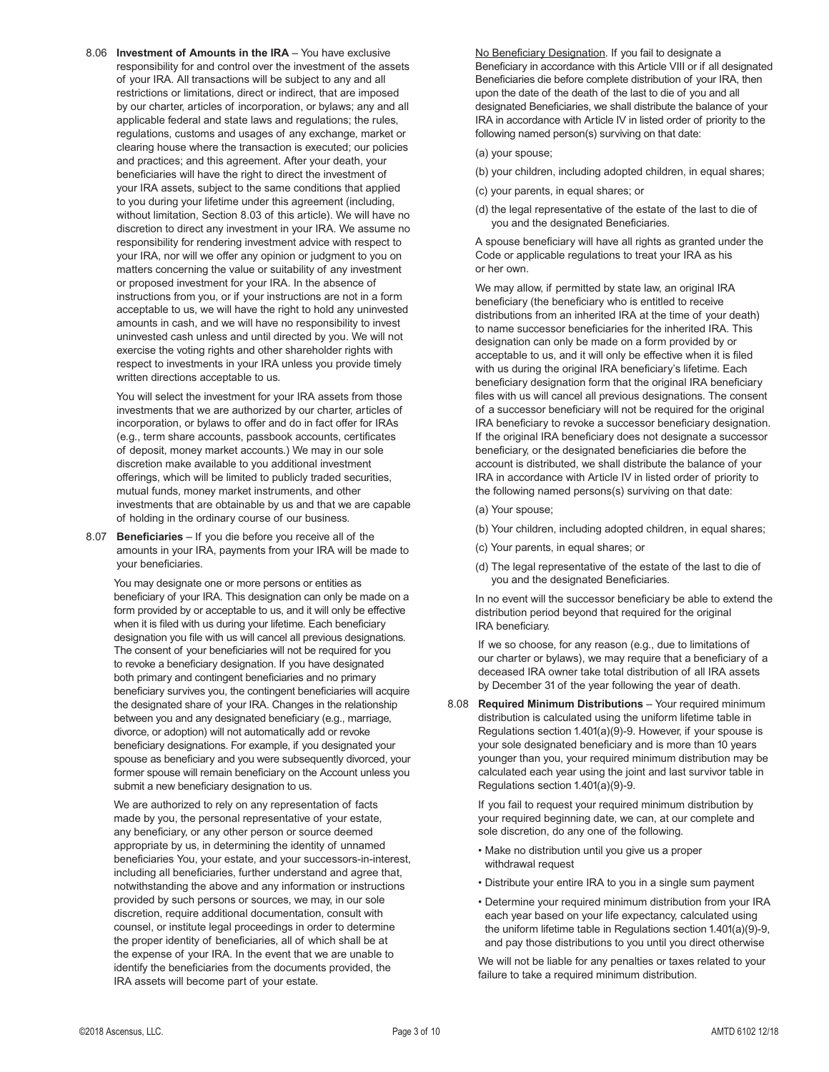8.06 **Investment of Amounts in the IRA** – You have exclusive responsibility for and control over the investment of the assets of your IRA. All transactions will be subject to any and all restrictions or limitations, direct or indirect, that are imposed by our charter, articles of incorporation, or bylaws; any and all applicable federal and state laws and regulations; the rules, regulations, customs and usages of any exchange, market or clearing house where the transaction is executed; our policies and practices; and this agreement. After your death, your beneficiaries will have the right to direct the investment of your IRA assets, subject to the same conditions that applied to you during your lifetime under this agreement (including, without limitation, Section 8.03 of this article). We will have no discretion to direct any investment in your IRA. We assume no responsibility for rendering investment advice with respect to your IRA, nor will we offer any opinion or judgment to you on matters concerning the value or suitability of any investment or proposed investment for your IRA. In the absence of instructions from you, or if your instructions are not in a form acceptable to us, we will have the right to hold any uninvested amounts in cash, and we will have no responsibility to invest uninvested cash unless and until directed by you. We will not exercise the voting rights and other shareholder rights with respect to investments in your IRA unless you provide timely written directions acceptable to us.

 You will select the investment for your IRA assets from those investments that we are authorized by our charter, articles of incorporation, or bylaws to offer and do in fact offer for IRAs (e.g., term share accounts, passbook accounts, certificates of deposit, money market accounts.) We may in our sole discretion make available to you additional investment offerings, which will be limited to publicly traded securities, mutual funds, money market instruments, and other investments that are obtainable by us and that we are capable of holding in the ordinary course of our business.

8.07 **Beneficiaries** – If you die before you receive all of the amounts in your IRA, payments from your IRA will be made to your beneficiaries.

 You may designate one or more persons or entities as beneficiary of your IRA. This designation can only be made on a form provided by or acceptable to us, and it will only be effective when it is filed with us during your lifetime. Each beneficiary designation you file with us will cancel all previous designations. The consent of your beneficiaries will not be required for you to revoke a beneficiary designation. If you have designated both primary and contingent beneficiaries and no primary beneficiary survives you, the contingent beneficiaries will acquire the designated share of your IRA. Changes in the relationship between you and any designated beneficiary (e.g., marriage, divorce, or adoption) will not automatically add or revoke beneficiary designations. For example, if you designated your spouse as beneficiary and you were subsequently divorced, your former spouse will remain beneficiary on the Account unless you submit a new beneficiary designation to us.

 We are authorized to rely on any representation of facts made by you, the personal representative of your estate, any beneficiary, or any other person or source deemed appropriate by us, in determining the identity of unnamed beneficiaries You, your estate, and your successors-in-interest, including all beneficiaries, further understand and agree that, notwithstanding the above and any information or instructions provided by such persons or sources, we may, in our sole discretion, require additional documentation, consult with counsel, or institute legal proceedings in order to determine the proper identity of beneficiaries, all of which shall be at the expense of your IRA. In the event that we are unable to identify the beneficiaries from the documents provided, the IRA assets will become part of your estate.

 No Beneficiary Designation. If you fail to designate a Beneficiary in accordance with this Article VIII or if all designated Beneficiaries die before complete distribution of your IRA, then upon the date of the death of the last to die of you and all designated Beneficiaries, we shall distribute the balance of your IRA in accordance with Article IV in listed order of priority to the following named person(s) surviving on that date:

(a) your spouse;

- (b) your children, including adopted children, in equal shares;
- (c) your parents, in equal shares; or
- (d) the legal representative of the estate of the last to die of you and the designated Beneficiaries.

 A spouse beneficiary will have all rights as granted under the Code or applicable regulations to treat your IRA as his or her own.

 We may allow, if permitted by state law, an original IRA beneficiary (the beneficiary who is entitled to receive distributions from an inherited IRA at the time of your death) to name successor beneficiaries for the inherited IRA. This designation can only be made on a form provided by or acceptable to us, and it will only be effective when it is filed with us during the original IRA beneficiary's lifetime. Each beneficiary designation form that the original IRA beneficiary files with us will cancel all previous designations. The consent of a successor beneficiary will not be required for the original IRA beneficiary to revoke a successor beneficiary designation. If the original IRA beneficiary does not designate a successor beneficiary, or the designated beneficiaries die before the account is distributed, we shall distribute the balance of your IRA in accordance with Article IV in listed order of priority to the following named persons(s) surviving on that date:

(a) Your spouse;

- (b) Your children, including adopted children, in equal shares;
- (c) Your parents, in equal shares; or
- (d) The legal representative of the estate of the last to die of you and the designated Beneficiaries.

 In no event will the successor beneficiary be able to extend the distribution period beyond that required for the original IRA beneficiary.

 If we so choose, for any reason (e.g., due to limitations of our charter or bylaws), we may require that a beneficiary of a deceased IRA owner take total distribution of all IRA assets by December 31 of the year following the year of death.

8.08 **Required Minimum Distributions** – Your required minimum distribution is calculated using the uniform lifetime table in Regulations section 1.401(a)(9)-9. However, if your spouse is your sole designated beneficiary and is more than 10 years younger than you, your required minimum distribution may be calculated each year using the joint and last survivor table in Regulations section 1.401(a)(9)-9.

 If you fail to request your required minimum distribution by your required beginning date, we can, at our complete and sole discretion, do any one of the following.

- Make no distribution until you give us a proper withdrawal request
- Distribute your entire IRA to you in a single sum payment
- Determine your required minimum distribution from your IRA each year based on your life expectancy, calculated using the uniform lifetime table in Regulations section 1.401(a)(9)-9, and pay those distributions to you until you direct otherwise

 We will not be liable for any penalties or taxes related to your failure to take a required minimum distribution.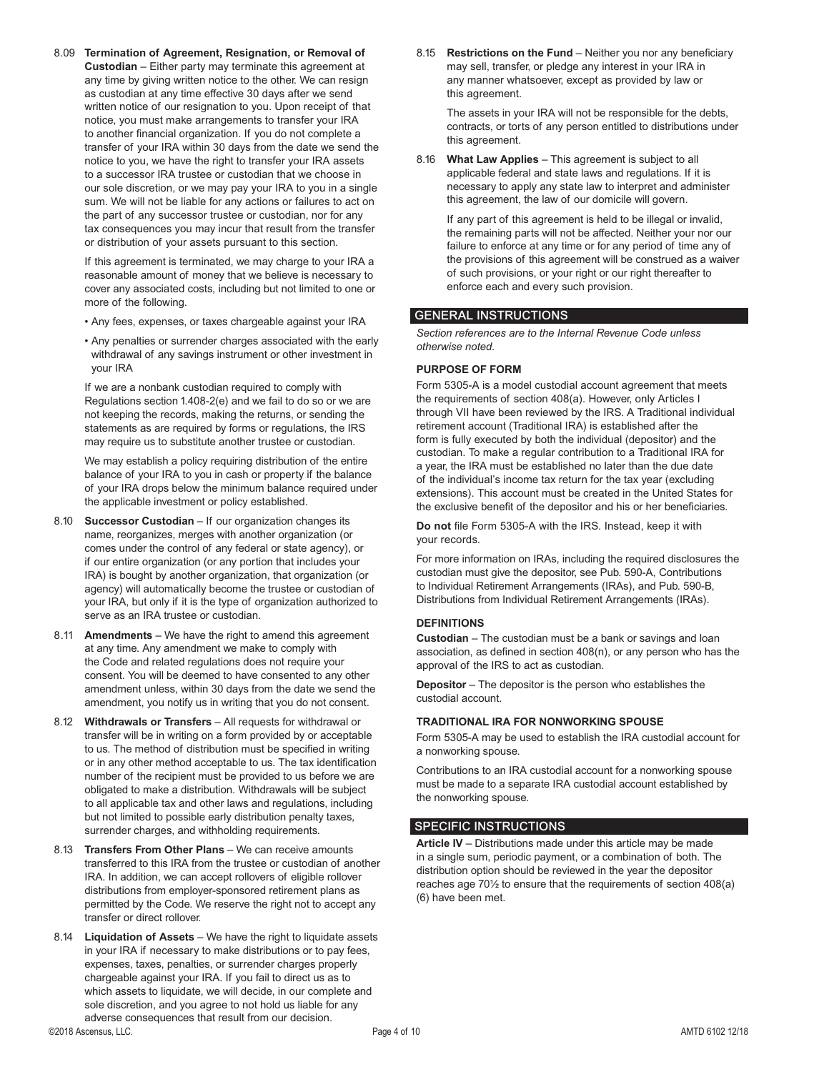8.09 **Termination of Agreement, Resignation, or Removal of Custodian** – Either party may terminate this agreement at any time by giving written notice to the other. We can resign as custodian at any time effective 30 days after we send written notice of our resignation to you. Upon receipt of that notice, you must make arrangements to transfer your IRA to another financial organization. If you do not complete a transfer of your IRA within 30 days from the date we send the notice to you, we have the right to transfer your IRA assets to a successor IRA trustee or custodian that we choose in our sole discretion, or we may pay your IRA to you in a single sum. We will not be liable for any actions or failures to act on the part of any successor trustee or custodian, nor for any tax consequences you may incur that result from the transfer or distribution of your assets pursuant to this section.

 If this agreement is terminated, we may charge to your IRA a reasonable amount of money that we believe is necessary to cover any associated costs, including but not limited to one or more of the following.

- Any fees, expenses, or taxes chargeable against your IRA
- Any penalties or surrender charges associated with the early withdrawal of any savings instrument or other investment in your IRA

 If we are a nonbank custodian required to comply with Regulations section 1.408-2(e) and we fail to do so or we are not keeping the records, making the returns, or sending the statements as are required by forms or regulations, the IRS may require us to substitute another trustee or custodian.

 We may establish a policy requiring distribution of the entire balance of your IRA to you in cash or property if the balance of your IRA drops below the minimum balance required under the applicable investment or policy established.

- 8.10 **Successor Custodian** If our organization changes its name, reorganizes, merges with another organization (or comes under the control of any federal or state agency), or if our entire organization (or any portion that includes your IRA) is bought by another organization, that organization (or agency) will automatically become the trustee or custodian of your IRA, but only if it is the type of organization authorized to serve as an IRA trustee or custodian.
- 8.11 **Amendments** We have the right to amend this agreement at any time. Any amendment we make to comply with the Code and related regulations does not require your consent. You will be deemed to have consented to any other amendment unless, within 30 days from the date we send the amendment, you notify us in writing that you do not consent.
- 8.12 **Withdrawals or Transfers** All requests for withdrawal or transfer will be in writing on a form provided by or acceptable to us. The method of distribution must be specified in writing or in any other method acceptable to us. The tax identification number of the recipient must be provided to us before we are obligated to make a distribution. Withdrawals will be subject to all applicable tax and other laws and regulations, including but not limited to possible early distribution penalty taxes, surrender charges, and withholding requirements.
- 8.13 **Transfers From Other Plans** We can receive amounts transferred to this IRA from the trustee or custodian of another IRA. In addition, we can accept rollovers of eligible rollover distributions from employer-sponsored retirement plans as permitted by the Code. We reserve the right not to accept any transfer or direct rollover.
- 8.14 **Liquidation of Assets** We have the right to liquidate assets in your IRA if necessary to make distributions or to pay fees, expenses, taxes, penalties, or surrender charges properly chargeable against your IRA. If you fail to direct us as to which assets to liquidate, we will decide, in our complete and sole discretion, and you agree to not hold us liable for any adverse consequences that result from our decision.

8.15 **Restrictions on the Fund** – Neither you nor any beneficiary may sell, transfer, or pledge any interest in your IRA in any manner whatsoever, except as provided by law or this agreement.

 The assets in your IRA will not be responsible for the debts, contracts, or torts of any person entitled to distributions under this agreement.

8.16 **What Law Applies** – This agreement is subject to all applicable federal and state laws and regulations. If it is necessary to apply any state law to interpret and administer this agreement, the law of our domicile will govern.

 If any part of this agreement is held to be illegal or invalid, the remaining parts will not be affected. Neither your nor our failure to enforce at any time or for any period of time any of the provisions of this agreement will be construed as a waiver of such provisions, or your right or our right thereafter to enforce each and every such provision.

### GENERAL INSTRUCTIONS

*Section references are to the Internal Revenue Code unless otherwise noted.*

### **PURPOSE OF FORM**

Form 5305-A is a model custodial account agreement that meets the requirements of section 408(a). However, only Articles I through VII have been reviewed by the IRS. A Traditional individual retirement account (Traditional IRA) is established after the form is fully executed by both the individual (depositor) and the custodian. To make a regular contribution to a Traditional IRA for a year, the IRA must be established no later than the due date of the individual's income tax return for the tax year (excluding extensions). This account must be created in the United States for the exclusive benefit of the depositor and his or her beneficiaries.

**Do not** file Form 5305-A with the IRS. Instead, keep it with your records.

For more information on IRAs, including the required disclosures the custodian must give the depositor, see Pub. 590-A, Contributions to Individual Retirement Arrangements (IRAs), and Pub. 590-B, Distributions from Individual Retirement Arrangements (IRAs).

### **DEFINITIONS**

**Custodian** – The custodian must be a bank or savings and loan association, as defined in section 408(n), or any person who has the approval of the IRS to act as custodian.

**Depositor** – The depositor is the person who establishes the custodial account.

### **TRADITIONAL IRA FOR NONWORKING SPOUSE**

Form 5305-A may be used to establish the IRA custodial account for a nonworking spouse.

Contributions to an IRA custodial account for a nonworking spouse must be made to a separate IRA custodial account established by the nonworking spouse.

### SPECIFIC INSTRUCTIONS

**Article IV** – Distributions made under this article may be made in a single sum, periodic payment, or a combination of both. The distribution option should be reviewed in the year the depositor reaches age 70½ to ensure that the requirements of section 408(a) (6) have been met.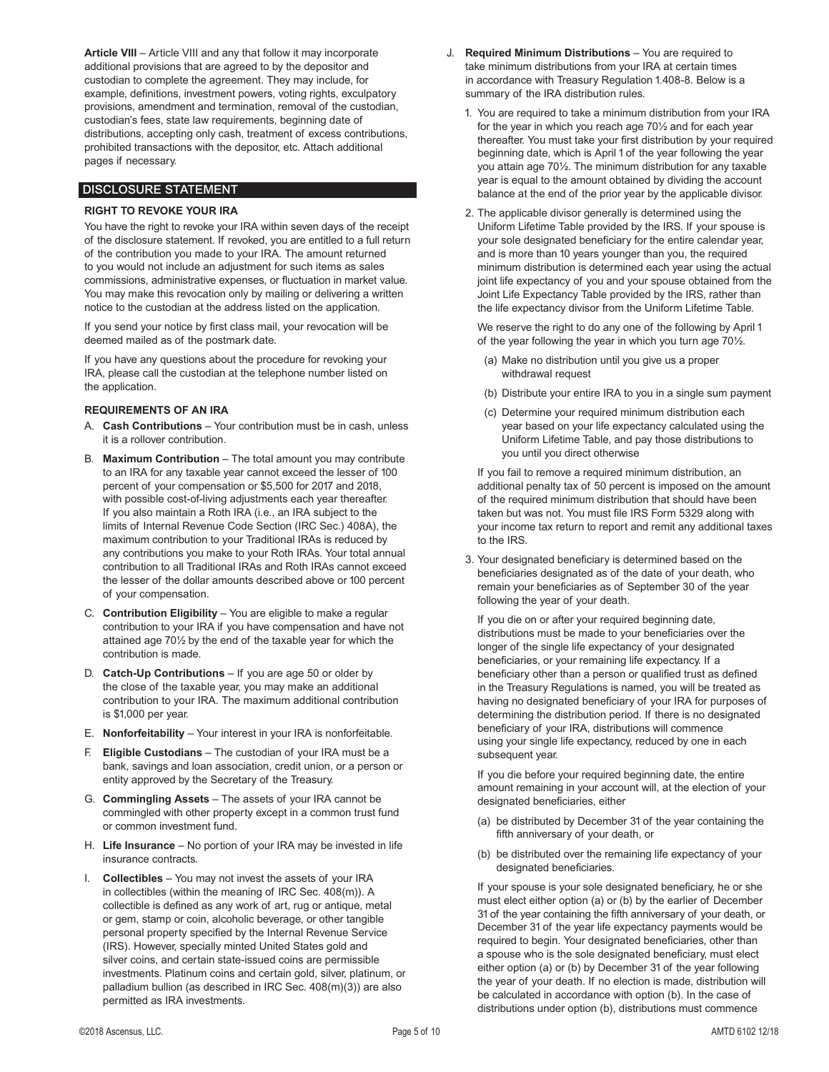**Article VIII** – Article VIII and any that follow it may incorporate additional provisions that are agreed to by the depositor and custodian to complete the agreement. They may include, for example, definitions, investment powers, voting rights, exculpatory provisions, amendment and termination, removal of the custodian, custodian's fees, state law requirements, beginning date of distributions, accepting only cash, treatment of excess contributions, prohibited transactions with the depositor, etc. Attach additional pages if necessary.

### DISCLOSURE STATEMENT

### **RIGHT TO REVOKE YOUR IRA**

You have the right to revoke your IRA within seven days of the receipt of the disclosure statement. If revoked, you are entitled to a full return of the contribution you made to your IRA. The amount returned to you would not include an adjustment for such items as sales commissions, administrative expenses, or fluctuation in market value. You may make this revocation only by mailing or delivering a written notice to the custodian at the address listed on the application.

If you send your notice by first class mail, your revocation will be deemed mailed as of the postmark date.

If you have any questions about the procedure for revoking your IRA, please call the custodian at the telephone number listed on the application.

#### **REQUIREMENTS OF AN IRA**

- A. **Cash Contributions** Your contribution must be in cash, unless it is a rollover contribution.
- B. **Maximum Contribution** The total amount you may contribute to an IRA for any taxable year cannot exceed the lesser of 100 percent of your compensation or \$5,500 for 2017 and 2018, with possible cost-of-living adjustments each year thereafter. If you also maintain a Roth IRA (i.e., an IRA subject to the limits of Internal Revenue Code Section (IRC Sec.) 408A), the maximum contribution to your Traditional IRAs is reduced by any contributions you make to your Roth IRAs. Your total annual contribution to all Traditional IRAs and Roth IRAs cannot exceed the lesser of the dollar amounts described above or 100 percent of your compensation.
- C. **Contribution Eligibility** You are eligible to make a regular contribution to your IRA if you have compensation and have not attained age 70½ by the end of the taxable year for which the contribution is made.
- D. **Catch-Up Contributions** If you are age 50 or older by the close of the taxable year, you may make an additional contribution to your IRA. The maximum additional contribution is \$1,000 per year.
- E. **Nonforfeitability** Your interest in your IRA is nonforfeitable.
- F. **Eligible Custodians** The custodian of your IRA must be a bank, savings and loan association, credit union, or a person or entity approved by the Secretary of the Treasury.
- G. **Commingling Assets** The assets of your IRA cannot be commingled with other property except in a common trust fund or common investment fund.
- H. **Life Insurance**  No portion of your IRA may be invested in life insurance contracts.
- I. **Collectibles** You may not invest the assets of your IRA in collectibles (within the meaning of IRC Sec. 408(m)). A collectible is defined as any work of art, rug or antique, metal or gem, stamp or coin, alcoholic beverage, or other tangible personal property specified by the Internal Revenue Service (IRS). However, specially minted United States gold and silver coins, and certain state-issued coins are permissible investments. Platinum coins and certain gold, silver, platinum, or palladium bullion (as described in IRC Sec. 408(m)(3)) are also permitted as IRA investments.
- J. **Required Minimum Distributions** You are required to take minimum distributions from your IRA at certain times in accordance with Treasury Regulation 1.408-8. Below is a summary of the IRA distribution rules.
	- 1. You are required to take a minimum distribution from your IRA for the year in which you reach age 70½ and for each year thereafter. You must take your first distribution by your required beginning date, which is April 1 of the year following the year you attain age 70½. The minimum distribution for any taxable year is equal to the amount obtained by dividing the account balance at the end of the prior year by the applicable divisor.
	- 2. The applicable divisor generally is determined using the Uniform Lifetime Table provided by the IRS. If your spouse is your sole designated beneficiary for the entire calendar year, and is more than 10 years younger than you, the required minimum distribution is determined each year using the actual joint life expectancy of you and your spouse obtained from the Joint Life Expectancy Table provided by the IRS, rather than the life expectancy divisor from the Uniform Lifetime Table.

 We reserve the right to do any one of the following by April 1 of the year following the year in which you turn age 70½.

- (a) Make no distribution until you give us a proper withdrawal request
- (b) Distribute your entire IRA to you in a single sum payment
- (c) Determine your required minimum distribution each year based on your life expectancy calculated using the Uniform Lifetime Table, and pay those distributions to you until you direct otherwise

 If you fail to remove a required minimum distribution, an additional penalty tax of 50 percent is imposed on the amount of the required minimum distribution that should have been taken but was not. You must file IRS Form 5329 along with your income tax return to report and remit any additional taxes to the IRS.

3. Your designated beneficiary is determined based on the beneficiaries designated as of the date of your death, who remain your beneficiaries as of September 30 of the year following the year of your death.

 If you die on or after your required beginning date, distributions must be made to your beneficiaries over the longer of the single life expectancy of your designated beneficiaries, or your remaining life expectancy. If a beneficiary other than a person or qualified trust as defined in the Treasury Regulations is named, you will be treated as having no designated beneficiary of your IRA for purposes of determining the distribution period. If there is no designated beneficiary of your IRA, distributions will commence using your single life expectancy, reduced by one in each subsequent year.

 If you die before your required beginning date, the entire amount remaining in your account will, at the election of your designated beneficiaries, either

- (a) be distributed by December 31 of the year containing the fifth anniversary of your death, or
- (b) be distributed over the remaining life expectancy of your designated beneficiaries.

 If your spouse is your sole designated beneficiary, he or she must elect either option (a) or (b) by the earlier of December 31 of the year containing the fifth anniversary of your death, or December 31 of the year life expectancy payments would be required to begin. Your designated beneficiaries, other than a spouse who is the sole designated beneficiary, must elect either option (a) or (b) by December 31 of the year following the year of your death. If no election is made, distribution will be calculated in accordance with option (b). In the case of distributions under option (b), distributions must commence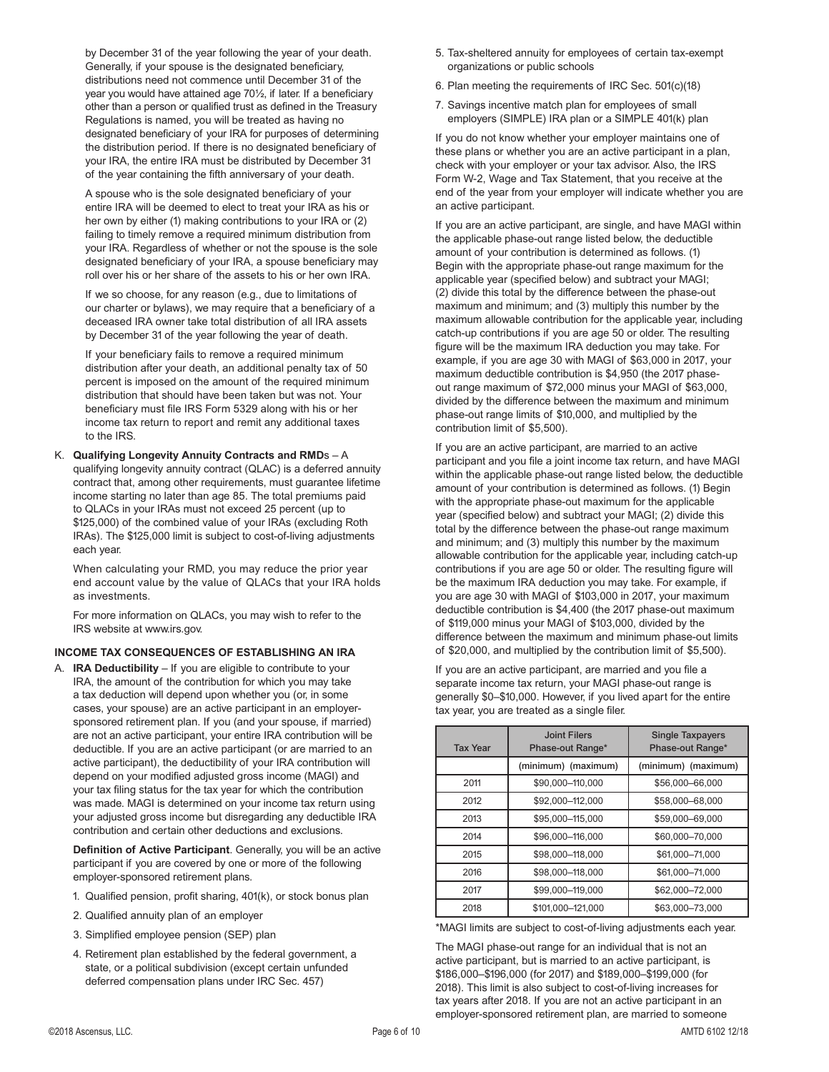by December 31 of the year following the year of your death. Generally, if your spouse is the designated beneficiary, distributions need not commence until December 31 of the year you would have attained age 70½, if later. If a beneficiary other than a person or qualified trust as defined in the Treasury Regulations is named, you will be treated as having no designated beneficiary of your IRA for purposes of determining the distribution period. If there is no designated beneficiary of your IRA, the entire IRA must be distributed by December 31 of the year containing the fifth anniversary of your death.

 A spouse who is the sole designated beneficiary of your entire IRA will be deemed to elect to treat your IRA as his or her own by either (1) making contributions to your IRA or (2) failing to timely remove a required minimum distribution from your IRA. Regardless of whether or not the spouse is the sole designated beneficiary of your IRA, a spouse beneficiary may roll over his or her share of the assets to his or her own IRA.

 If we so choose, for any reason (e.g., due to limitations of our charter or bylaws), we may require that a beneficiary of a deceased IRA owner take total distribution of all IRA assets by December 31 of the year following the year of death.

 If your beneficiary fails to remove a required minimum distribution after your death, an additional penalty tax of 50 percent is imposed on the amount of the required minimum distribution that should have been taken but was not. Your beneficiary must file IRS Form 5329 along with his or her income tax return to report and remit any additional taxes to the IRS.

K. **Qualifying Longevity Annuity Contracts and RMD**s – A qualifying longevity annuity contract (QLAC) is a deferred annuity contract that, among other requirements, must guarantee lifetime income starting no later than age 85. The total premiums paid to QLACs in your IRAs must not exceed 25 percent (up to \$125,000) of the combined value of your IRAs (excluding Roth IRAs). The \$125,000 limit is subject to cost-of-living adjustments each year.

 When calculating your RMD, you may reduce the prior year end account value by the value of QLACs that your IRA holds as investments.

 For more information on QLACs, you may wish to refer to the IRS website at www.irs.gov.

#### **INCOME TAX CONSEQUENCES OF ESTABLISHING AN IRA**

A. **IRA Deductibility** – If you are eligible to contribute to your IRA, the amount of the contribution for which you may take a tax deduction will depend upon whether you (or, in some cases, your spouse) are an active participant in an employersponsored retirement plan. If you (and your spouse, if married) are not an active participant, your entire IRA contribution will be deductible. If you are an active participant (or are married to an active participant), the deductibility of your IRA contribution will depend on your modified adjusted gross income (MAGI) and your tax filing status for the tax year for which the contribution was made. MAGI is determined on your income tax return using your adjusted gross income but disregarding any deductible IRA contribution and certain other deductions and exclusions.

**Definition of Active Participant**. Generally, you will be an active participant if you are covered by one or more of the following employer-sponsored retirement plans.

- 1. Qualified pension, profit sharing, 401(k), or stock bonus plan
- 2. Qualified annuity plan of an employer
- 3. Simplified employee pension (SEP) plan
- 4. Retirement plan established by the federal government, a state, or a political subdivision (except certain unfunded deferred compensation plans under IRC Sec. 457)
- 5. Tax-sheltered annuity for employees of certain tax-exempt organizations or public schools
- 6. Plan meeting the requirements of IRC Sec. 501(c)(18)
- 7. Savings incentive match plan for employees of small employers (SIMPLE) IRA plan or a SIMPLE 401(k) plan

 If you do not know whether your employer maintains one of these plans or whether you are an active participant in a plan, check with your employer or your tax advisor. Also, the IRS Form W-2, Wage and Tax Statement, that you receive at the end of the year from your employer will indicate whether you are an active participant.

 If you are an active participant, are single, and have MAGI within the applicable phase-out range listed below, the deductible amount of your contribution is determined as follows. (1) Begin with the appropriate phase-out range maximum for the applicable year (specified below) and subtract your MAGI; (2) divide this total by the difference between the phase-out maximum and minimum; and (3) multiply this number by the maximum allowable contribution for the applicable year, including catch-up contributions if you are age 50 or older. The resulting figure will be the maximum IRA deduction you may take. For example, if you are age 30 with MAGI of \$63,000 in 2017, your maximum deductible contribution is \$4,950 (the 2017 phaseout range maximum of \$72,000 minus your MAGI of \$63,000, divided by the difference between the maximum and minimum phase-out range limits of \$10,000, and multiplied by the contribution limit of \$5,500).

 If you are an active participant, are married to an active participant and you file a joint income tax return, and have MAGI within the applicable phase-out range listed below, the deductible amount of your contribution is determined as follows. (1) Begin with the appropriate phase-out maximum for the applicable year (specified below) and subtract your MAGI; (2) divide this total by the difference between the phase-out range maximum and minimum; and (3) multiply this number by the maximum allowable contribution for the applicable year, including catch-up contributions if you are age 50 or older. The resulting figure will be the maximum IRA deduction you may take. For example, if you are age 30 with MAGI of \$103,000 in 2017, your maximum deductible contribution is \$4,400 (the 2017 phase-out maximum of \$119,000 minus your MAGI of \$103,000, divided by the difference between the maximum and minimum phase-out limits of \$20,000, and multiplied by the contribution limit of \$5,500).

 If you are an active participant, are married and you file a separate income tax return, your MAGI phase-out range is generally \$0–\$10,000. However, if you lived apart for the entire tax year, you are treated as a single filer.

| <b>Tax Year</b> | <b>Joint Filers</b><br>Phase-out Range* | <b>Single Taxpayers</b><br>Phase-out Range* |
|-----------------|-----------------------------------------|---------------------------------------------|
|                 | (minimum) (maximum)                     | (minimum) (maximum)                         |
| 2011            | \$90,000-110,000                        | \$56,000-66,000                             |
| 2012            | \$92,000-112,000                        | \$58,000-68,000                             |
| 2013            | \$95,000-115,000                        | \$59,000-69,000                             |
| 2014            | \$96,000-116,000                        | \$60,000-70,000                             |
| 2015            | \$98,000-118,000                        | \$61,000-71,000                             |
| 2016            | \$98,000-118,000                        | \$61,000-71,000                             |
| 2017            | \$99,000-119,000                        | \$62,000-72,000                             |
| 2018            | \$101.000-121.000                       | \$63,000-73,000                             |

\*MAGI limits are subject to cost-of-living adjustments each year.

 The MAGI phase-out range for an individual that is not an active participant, but is married to an active participant, is \$186,000–\$196,000 (for 2017) and \$189,000–\$199,000 (for 2018). This limit is also subject to cost-of-living increases for tax years after 2018. If you are not an active participant in an employer-sponsored retirement plan, are married to someone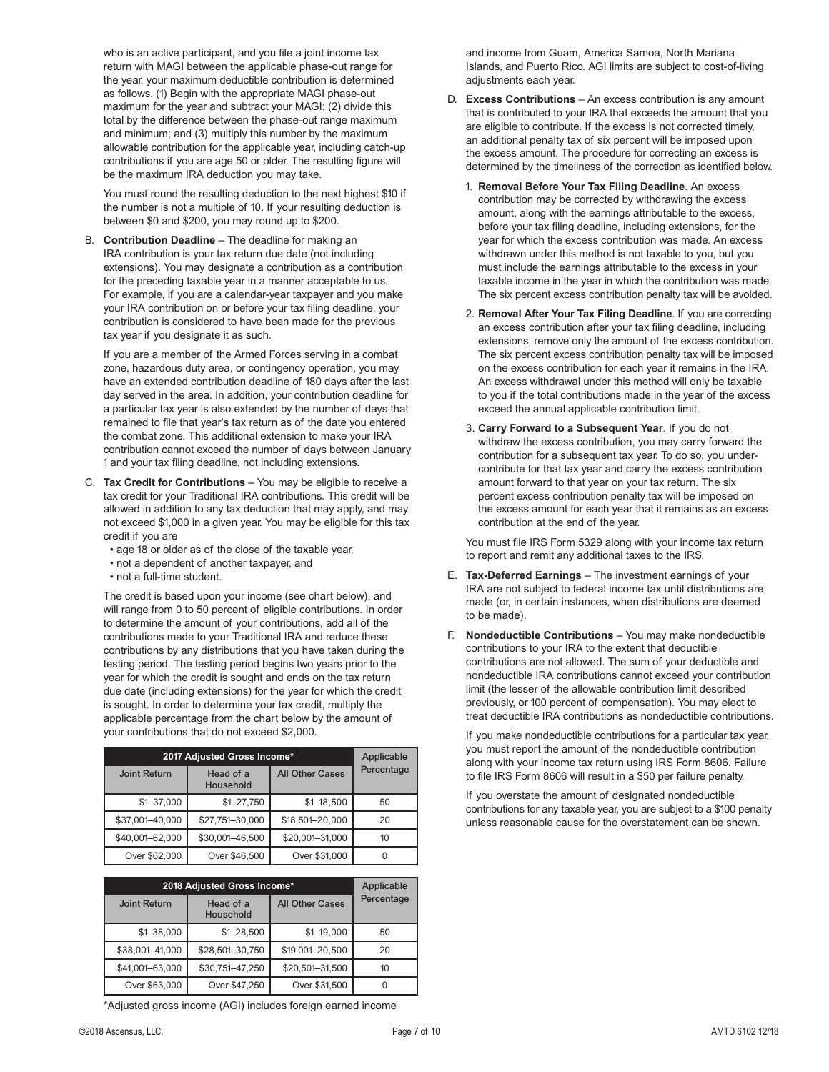who is an active participant, and you file a joint income tax return with MAGI between the applicable phase-out range for the year, your maximum deductible contribution is determined as follows. (1) Begin with the appropriate MAGI phase-out maximum for the year and subtract your MAGI; (2) divide this total by the difference between the phase-out range maximum and minimum; and (3) multiply this number by the maximum allowable contribution for the applicable year, including catch-up contributions if you are age 50 or older. The resulting figure will be the maximum IRA deduction you may take.

 You must round the resulting deduction to the next highest \$10 if the number is not a multiple of 10. If your resulting deduction is between \$0 and \$200, you may round up to \$200.

B. **Contribution Deadline** – The deadline for making an IRA contribution is your tax return due date (not including extensions). You may designate a contribution as a contribution for the preceding taxable year in a manner acceptable to us. For example, if you are a calendar-year taxpayer and you make your IRA contribution on or before your tax filing deadline, your contribution is considered to have been made for the previous tax year if you designate it as such.

 If you are a member of the Armed Forces serving in a combat zone, hazardous duty area, or contingency operation, you may have an extended contribution deadline of 180 days after the last day served in the area. In addition, your contribution deadline for a particular tax year is also extended by the number of days that remained to file that year's tax return as of the date you entered the combat zone. This additional extension to make your IRA contribution cannot exceed the number of days between January 1 and your tax filing deadline, not including extensions.

- C. **Tax Credit for Contributions** You may be eligible to receive a tax credit for your Traditional IRA contributions. This credit will be allowed in addition to any tax deduction that may apply, and may not exceed \$1,000 in a given year. You may be eligible for this tax credit if you are
	- age 18 or older as of the close of the taxable year,
	- not a dependent of another taxpayer, and
	- not a full-time student.

 The credit is based upon your income (see chart below), and will range from 0 to 50 percent of eligible contributions. In order to determine the amount of your contributions, add all of the contributions made to your Traditional IRA and reduce these contributions by any distributions that you have taken during the testing period. The testing period begins two years prior to the year for which the credit is sought and ends on the tax return due date (including extensions) for the year for which the credit is sought. In order to determine your tax credit, multiply the applicable percentage from the chart below by the amount of your contributions that do not exceed \$2,000.

| 2017 Adjusted Gross Income* |                        |                        | Applicable |
|-----------------------------|------------------------|------------------------|------------|
| <b>Joint Return</b>         | Head of a<br>Household | <b>All Other Cases</b> | Percentage |
| $$1 - 37,000$               | $$1 - 27,750$          | $$1 - 18.500$          | 50         |
| \$37,001-40,000             | \$27,751-30,000        | \$18,501-20,000        | 20         |
| \$40,001-62,000             | \$30,001-46,500        | \$20,001-31,000        | 10         |
| Over \$62,000               | Over \$46,500          | Over \$31,000          |            |

| 2018 Adjusted Gross Income* | Applicable             |                        |            |
|-----------------------------|------------------------|------------------------|------------|
| <b>Joint Return</b>         | Head of a<br>Household | <b>All Other Cases</b> | Percentage |
| $$1 - 38.000$               | $$1 - 28.500$          | $$1 - 19,000$          | 50         |
| \$38,001-41,000             | \$28,501-30,750        | \$19,001-20,500        | 20         |
| \$41,001-63,000             | \$30,751-47,250        | \$20,501-31,500        | 10         |
| Over \$63,000               | Over \$47,250          | Over \$31,500          |            |

\*Adjusted gross income (AGI) includes foreign earned income

and income from Guam, America Samoa, North Mariana Islands, and Puerto Rico. AGI limits are subject to cost-of-living adjustments each year.

- D. **Excess Contributions** An excess contribution is any amount that is contributed to your IRA that exceeds the amount that you are eligible to contribute. If the excess is not corrected timely, an additional penalty tax of six percent will be imposed upon the excess amount. The procedure for correcting an excess is determined by the timeliness of the correction as identified below.
	- 1. **Removal Before Your Tax Filing Deadline**. An excess contribution may be corrected by withdrawing the excess amount, along with the earnings attributable to the excess, before your tax filing deadline, including extensions, for the year for which the excess contribution was made. An excess withdrawn under this method is not taxable to you, but you must include the earnings attributable to the excess in your taxable income in the year in which the contribution was made. The six percent excess contribution penalty tax will be avoided.
	- 2. **Removal After Your Tax Filing Deadline**. If you are correcting an excess contribution after your tax filing deadline, including extensions, remove only the amount of the excess contribution. The six percent excess contribution penalty tax will be imposed on the excess contribution for each year it remains in the IRA. An excess withdrawal under this method will only be taxable to you if the total contributions made in the year of the excess exceed the annual applicable contribution limit.
	- 3. **Carry Forward to a Subsequent Year**. If you do not withdraw the excess contribution, you may carry forward the contribution for a subsequent tax year. To do so, you undercontribute for that tax year and carry the excess contribution amount forward to that year on your tax return. The six percent excess contribution penalty tax will be imposed on the excess amount for each year that it remains as an excess contribution at the end of the year.

 You must file IRS Form 5329 along with your income tax return to report and remit any additional taxes to the IRS.

- E. **Tax-Deferred Earnings** The investment earnings of your IRA are not subject to federal income tax until distributions are made (or, in certain instances, when distributions are deemed to be made).
- F. **Nondeductible Contributions** You may make nondeductible contributions to your IRA to the extent that deductible contributions are not allowed. The sum of your deductible and nondeductible IRA contributions cannot exceed your contribution limit (the lesser of the allowable contribution limit described previously, or 100 percent of compensation). You may elect to treat deductible IRA contributions as nondeductible contributions.

 If you make nondeductible contributions for a particular tax year, you must report the amount of the nondeductible contribution along with your income tax return using IRS Form 8606. Failure to file IRS Form 8606 will result in a \$50 per failure penalty.

 If you overstate the amount of designated nondeductible contributions for any taxable year, you are subject to a \$100 penalty unless reasonable cause for the overstatement can be shown.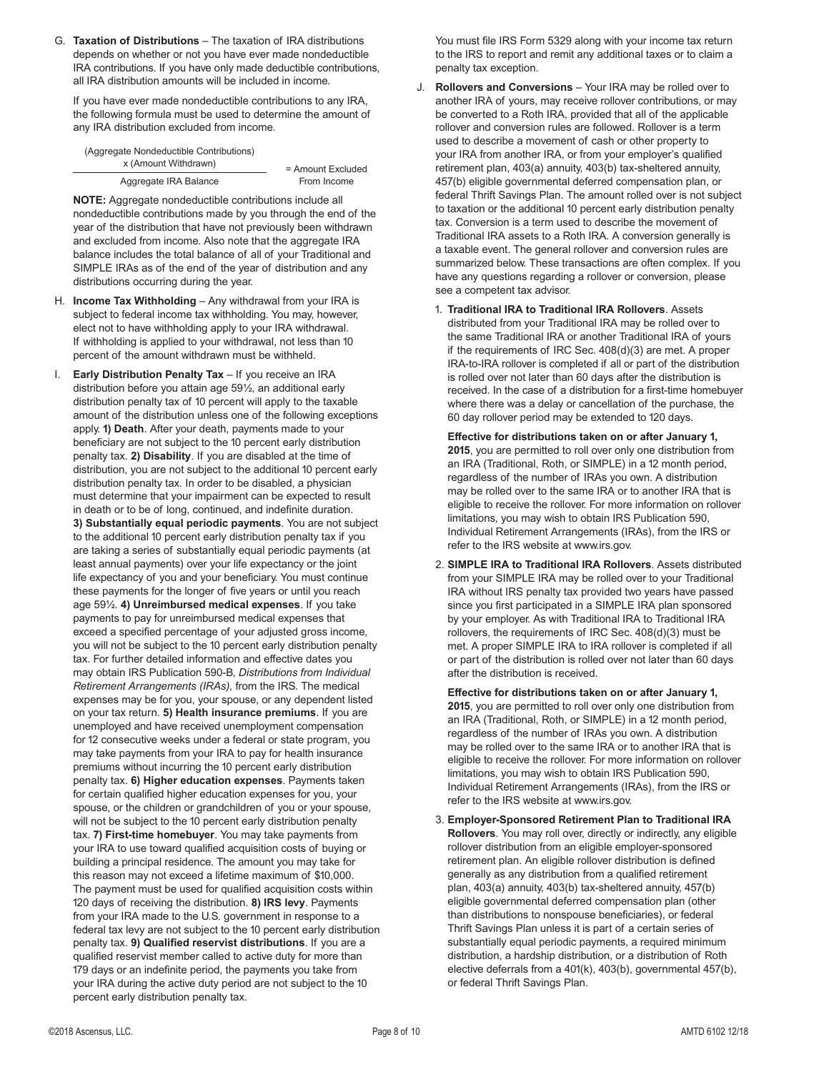G. **Taxation of Distributions** – The taxation of IRA distributions depends on whether or not you have ever made nondeductible IRA contributions. If you have only made deductible contributions, all IRA distribution amounts will be included in income.

 If you have ever made nondeductible contributions to any IRA, the following formula must be used to determine the amount of any IRA distribution excluded from income.

| (Aggregate Nondeductible Contributions) |                     |
|-----------------------------------------|---------------------|
| x (Amount Withdrawn)                    | $=$ Amount Excluded |
| Aggregate IRA Balance                   | From Income         |

**NOTE:** Aggregate nondeductible contributions include all nondeductible contributions made by you through the end of the year of the distribution that have not previously been withdrawn and excluded from income. Also note that the aggregate IRA balance includes the total balance of all of your Traditional and SIMPLE IRAs as of the end of the year of distribution and any distributions occurring during the year.

- H. **Income Tax Withholding** Any withdrawal from your IRA is subject to federal income tax withholding. You may, however, elect not to have withholding apply to your IRA withdrawal. If withholding is applied to your withdrawal, not less than 10 percent of the amount withdrawn must be withheld.
- I. **Early Distribution Penalty Tax** If you receive an IRA distribution before you attain age 59½, an additional early distribution penalty tax of 10 percent will apply to the taxable amount of the distribution unless one of the following exceptions apply. **1) Death**. After your death, payments made to your beneficiary are not subject to the 10 percent early distribution penalty tax. **2) Disability**. If you are disabled at the time of distribution, you are not subject to the additional 10 percent early distribution penalty tax. In order to be disabled, a physician must determine that your impairment can be expected to result in death or to be of long, continued, and indefinite duration. **3) Substantially equal periodic payments**. You are not subject to the additional 10 percent early distribution penalty tax if you are taking a series of substantially equal periodic payments (at least annual payments) over your life expectancy or the joint life expectancy of you and your beneficiary. You must continue these payments for the longer of five years or until you reach age 59½. **4) Unreimbursed medical expenses**. If you take payments to pay for unreimbursed medical expenses that exceed a specified percentage of your adjusted gross income, you will not be subject to the 10 percent early distribution penalty tax. For further detailed information and effective dates you may obtain IRS Publication 590-B, *Distributions from Individual Retirement Arrangements (IRAs),* from the IRS. The medical expenses may be for you, your spouse, or any dependent listed on your tax return. **5) Health insurance premiums**. If you are unemployed and have received unemployment compensation for 12 consecutive weeks under a federal or state program, you may take payments from your IRA to pay for health insurance premiums without incurring the 10 percent early distribution penalty tax. **6) Higher education expenses**. Payments taken for certain qualified higher education expenses for you, your spouse, or the children or grandchildren of you or your spouse, will not be subject to the 10 percent early distribution penalty tax. **7) First-time homebuyer**. You may take payments from your IRA to use toward qualified acquisition costs of buying or building a principal residence. The amount you may take for this reason may not exceed a lifetime maximum of \$10,000. The payment must be used for qualified acquisition costs within 120 days of receiving the distribution. **8) IRS levy**. Payments from your IRA made to the U.S. government in response to a federal tax levy are not subject to the 10 percent early distribution penalty tax. **9) Qualified reservist distributions**. If you are a qualified reservist member called to active duty for more than 179 days or an indefinite period, the payments you take from your IRA during the active duty period are not subject to the 10 percent early distribution penalty tax.

 You must file IRS Form 5329 along with your income tax return to the IRS to report and remit any additional taxes or to claim a penalty tax exception.

- J. **Rollovers and Conversions** Your IRA may be rolled over to another IRA of yours, may receive rollover contributions, or may be converted to a Roth IRA, provided that all of the applicable rollover and conversion rules are followed. Rollover is a term used to describe a movement of cash or other property to your IRA from another IRA, or from your employer's qualified retirement plan, 403(a) annuity, 403(b) tax-sheltered annuity, 457(b) eligible governmental deferred compensation plan, or federal Thrift Savings Plan. The amount rolled over is not subject to taxation or the additional 10 percent early distribution penalty tax. Conversion is a term used to describe the movement of Traditional IRA assets to a Roth IRA. A conversion generally is a taxable event. The general rollover and conversion rules are summarized below. These transactions are often complex. If you have any questions regarding a rollover or conversion, please see a competent tax advisor.
	- 1. **Traditional IRA to Traditional IRA Rollovers**. Assets distributed from your Traditional IRA may be rolled over to the same Traditional IRA or another Traditional IRA of yours if the requirements of IRC Sec. 408(d)(3) are met. A proper IRA-to-IRA rollover is completed if all or part of the distribution is rolled over not later than 60 days after the distribution is received. In the case of a distribution for a first-time homebuyer where there was a delay or cancellation of the purchase, the 60 day rollover period may be extended to 120 days.

 **Effective for distributions taken on or after January 1, 2015**, you are permitted to roll over only one distribution from an IRA (Traditional, Roth, or SIMPLE) in a 12 month period, regardless of the number of IRAs you own. A distribution may be rolled over to the same IRA or to another IRA that is eligible to receive the rollover. For more information on rollover limitations, you may wish to obtain IRS Publication 590, Individual Retirement Arrangements (IRAs), from the IRS or refer to the IRS website at www.irs.gov.

2. **SIMPLE IRA to Traditional IRA Rollovers**. Assets distributed from your SIMPLE IRA may be rolled over to your Traditional IRA without IRS penalty tax provided two years have passed since you first participated in a SIMPLE IRA plan sponsored by your employer. As with Traditional IRA to Traditional IRA rollovers, the requirements of IRC Sec. 408(d)(3) must be met. A proper SIMPLE IRA to IRA rollover is completed if all or part of the distribution is rolled over not later than 60 days after the distribution is received.

 **Effective for distributions taken on or after January 1, 2015**, you are permitted to roll over only one distribution from an IRA (Traditional, Roth, or SIMPLE) in a 12 month period, regardless of the number of IRAs you own. A distribution may be rolled over to the same IRA or to another IRA that is eligible to receive the rollover. For more information on rollover limitations, you may wish to obtain IRS Publication 590, Individual Retirement Arrangements (IRAs), from the IRS or refer to the IRS website at www.irs.gov.

3. **Employer-Sponsored Retirement Plan to Traditional IRA Rollovers**. You may roll over, directly or indirectly, any eligible rollover distribution from an eligible employer-sponsored retirement plan. An eligible rollover distribution is defined generally as any distribution from a qualified retirement plan, 403(a) annuity, 403(b) tax-sheltered annuity, 457(b) eligible governmental deferred compensation plan (other than distributions to nonspouse beneficiaries), or federal Thrift Savings Plan unless it is part of a certain series of substantially equal periodic payments, a required minimum distribution, a hardship distribution, or a distribution of Roth elective deferrals from a 401(k), 403(b), governmental 457(b), or federal Thrift Savings Plan.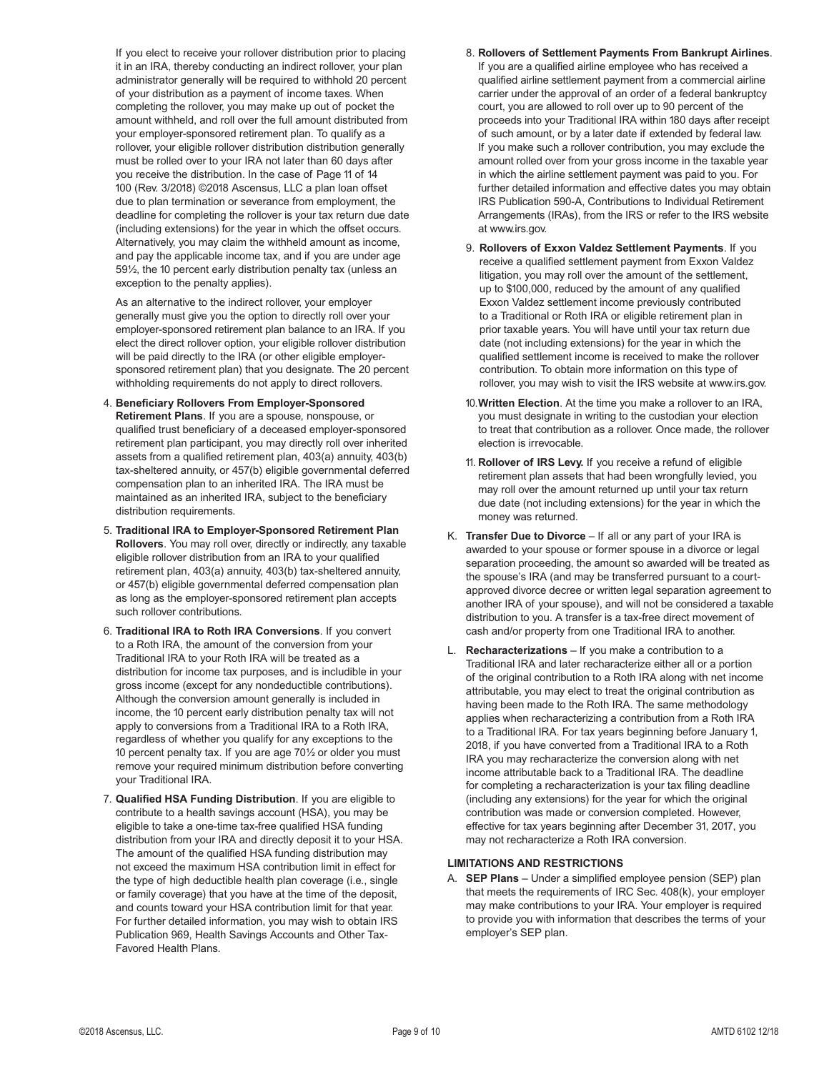If you elect to receive your rollover distribution prior to placing it in an IRA, thereby conducting an indirect rollover, your plan administrator generally will be required to withhold 20 percent of your distribution as a payment of income taxes. When completing the rollover, you may make up out of pocket the amount withheld, and roll over the full amount distributed from your employer-sponsored retirement plan. To qualify as a rollover, your eligible rollover distribution distribution generally must be rolled over to your IRA not later than 60 days after you receive the distribution. In the case of Page 11 of 14 100 (Rev. 3/2018) ©2018 Ascensus, LLC a plan loan offset due to plan termination or severance from employment, the deadline for completing the rollover is your tax return due date (including extensions) for the year in which the offset occurs. Alternatively, you may claim the withheld amount as income, and pay the applicable income tax, and if you are under age 59½, the 10 percent early distribution penalty tax (unless an exception to the penalty applies).

 As an alternative to the indirect rollover, your employer generally must give you the option to directly roll over your employer-sponsored retirement plan balance to an IRA. If you elect the direct rollover option, your eligible rollover distribution will be paid directly to the IRA (or other eligible employersponsored retirement plan) that you designate. The 20 percent withholding requirements do not apply to direct rollovers.

- 4. **Beneficiary Rollovers From Employer-Sponsored Retirement Plans**. If you are a spouse, nonspouse, or qualified trust beneficiary of a deceased employer-sponsored retirement plan participant, you may directly roll over inherited assets from a qualified retirement plan, 403(a) annuity, 403(b) tax-sheltered annuity, or 457(b) eligible governmental deferred compensation plan to an inherited IRA. The IRA must be maintained as an inherited IRA, subject to the beneficiary distribution requirements.
- 5. **Traditional IRA to Employer-Sponsored Retirement Plan Rollovers**. You may roll over, directly or indirectly, any taxable eligible rollover distribution from an IRA to your qualified retirement plan, 403(a) annuity, 403(b) tax-sheltered annuity, or 457(b) eligible governmental deferred compensation plan as long as the employer-sponsored retirement plan accepts such rollover contributions.
- 6. **Traditional IRA to Roth IRA Conversions**. If you convert to a Roth IRA, the amount of the conversion from your Traditional IRA to your Roth IRA will be treated as a distribution for income tax purposes, and is includible in your gross income (except for any nondeductible contributions). Although the conversion amount generally is included in income, the 10 percent early distribution penalty tax will not apply to conversions from a Traditional IRA to a Roth IRA, regardless of whether you qualify for any exceptions to the 10 percent penalty tax. If you are age 70½ or older you must remove your required minimum distribution before converting your Traditional IRA.
- 7. **Qualified HSA Funding Distribution**. If you are eligible to contribute to a health savings account (HSA), you may be eligible to take a one-time tax-free qualified HSA funding distribution from your IRA and directly deposit it to your HSA. The amount of the qualified HSA funding distribution may not exceed the maximum HSA contribution limit in effect for the type of high deductible health plan coverage (i.e., single or family coverage) that you have at the time of the deposit, and counts toward your HSA contribution limit for that year. For further detailed information, you may wish to obtain IRS Publication 969, Health Savings Accounts and Other Tax-Favored Health Plans.
- 8. **Rollovers of Settlement Payments From Bankrupt Airlines**. If you are a qualified airline employee who has received a qualified airline settlement payment from a commercial airline carrier under the approval of an order of a federal bankruptcy court, you are allowed to roll over up to 90 percent of the proceeds into your Traditional IRA within 180 days after receipt of such amount, or by a later date if extended by federal law. If you make such a rollover contribution, you may exclude the amount rolled over from your gross income in the taxable year in which the airline settlement payment was paid to you. For further detailed information and effective dates you may obtain IRS Publication 590-A, Contributions to Individual Retirement Arrangements (IRAs), from the IRS or refer to the IRS website at www.irs.gov.
- 9. **Rollovers of Exxon Valdez Settlement Payments**. If you receive a qualified settlement payment from Exxon Valdez litigation, you may roll over the amount of the settlement, up to \$100,000, reduced by the amount of any qualified Exxon Valdez settlement income previously contributed to a Traditional or Roth IRA or eligible retirement plan in prior taxable years. You will have until your tax return due date (not including extensions) for the year in which the qualified settlement income is received to make the rollover contribution. To obtain more information on this type of rollover, you may wish to visit the IRS website at www.irs.gov.
- 10. **Written Election**. At the time you make a rollover to an IRA, you must designate in writing to the custodian your election to treat that contribution as a rollover. Once made, the rollover election is irrevocable.
- 11. **Rollover of IRS Levy.** If you receive a refund of eligible retirement plan assets that had been wrongfully levied, you may roll over the amount returned up until your tax return due date (not including extensions) for the year in which the money was returned.
- K. **Transfer Due to Divorce** If all or any part of your IRA is awarded to your spouse or former spouse in a divorce or legal separation proceeding, the amount so awarded will be treated as the spouse's IRA (and may be transferred pursuant to a courtapproved divorce decree or written legal separation agreement to another IRA of your spouse), and will not be considered a taxable distribution to you. A transfer is a tax-free direct movement of cash and/or property from one Traditional IRA to another.
- L. **Recharacterizations** If you make a contribution to a Traditional IRA and later recharacterize either all or a portion of the original contribution to a Roth IRA along with net income attributable, you may elect to treat the original contribution as having been made to the Roth IRA. The same methodology applies when recharacterizing a contribution from a Roth IRA to a Traditional IRA. For tax years beginning before January 1, 2018, if you have converted from a Traditional IRA to a Roth IRA you may recharacterize the conversion along with net income attributable back to a Traditional IRA. The deadline for completing a recharacterization is your tax filing deadline (including any extensions) for the year for which the original contribution was made or conversion completed. However, effective for tax years beginning after December 31, 2017, you may not recharacterize a Roth IRA conversion.

#### **LIMITATIONS AND RESTRICTIONS**

A. **SEP Plans** – Under a simplified employee pension (SEP) plan that meets the requirements of IRC Sec. 408(k), your employer may make contributions to your IRA. Your employer is required to provide you with information that describes the terms of your employer's SEP plan.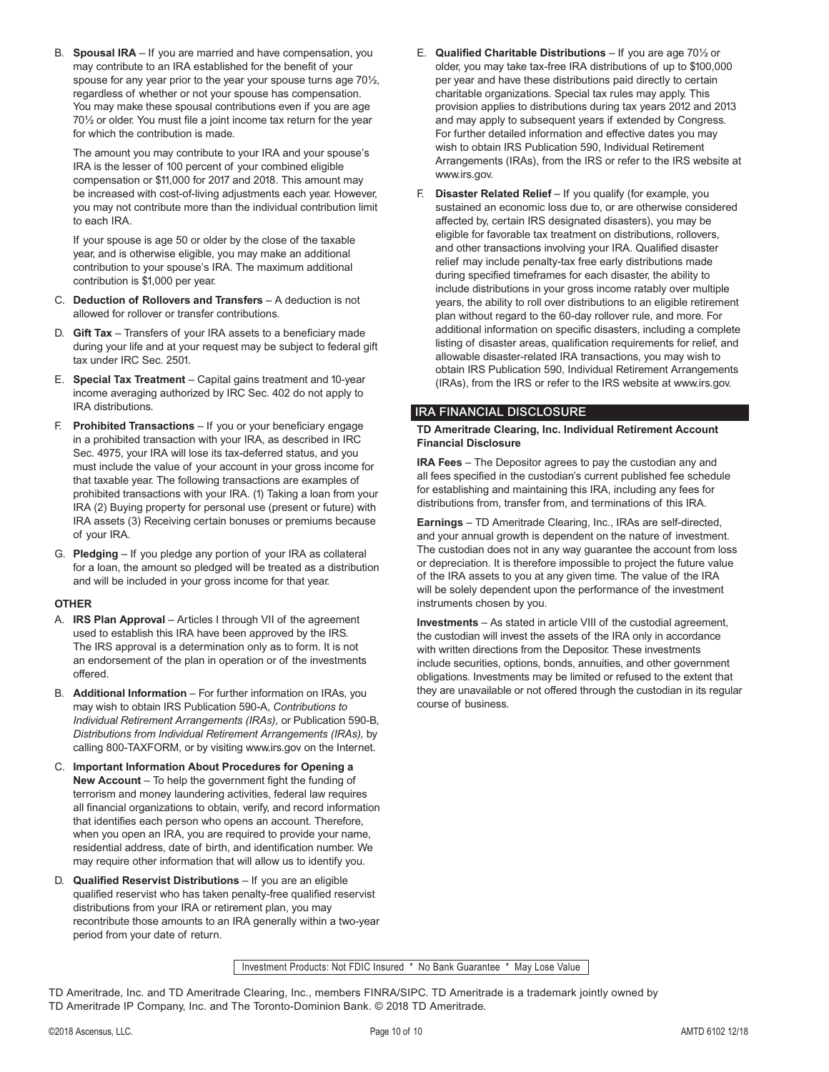B. **Spousal IRA** – If you are married and have compensation, you may contribute to an IRA established for the benefit of your spouse for any year prior to the year your spouse turns age 70½, regardless of whether or not your spouse has compensation. You may make these spousal contributions even if you are age 70½ or older. You must file a joint income tax return for the year for which the contribution is made.

 The amount you may contribute to your IRA and your spouse's IRA is the lesser of 100 percent of your combined eligible compensation or \$11,000 for 2017 and 2018. This amount may be increased with cost-of-living adjustments each year. However, you may not contribute more than the individual contribution limit to each IRA.

 If your spouse is age 50 or older by the close of the taxable year, and is otherwise eligible, you may make an additional contribution to your spouse's IRA. The maximum additional contribution is \$1,000 per year.

- C. **Deduction of Rollovers and Transfers** A deduction is not allowed for rollover or transfer contributions.
- D. **Gift Tax** Transfers of your IRA assets to a beneficiary made during your life and at your request may be subject to federal gift tax under IRC Sec. 2501.
- E. **Special Tax Treatment** Capital gains treatment and 10-year income averaging authorized by IRC Sec. 402 do not apply to IRA distributions.
- F. **Prohibited Transactions** If you or your beneficiary engage in a prohibited transaction with your IRA, as described in IRC Sec. 4975, your IRA will lose its tax-deferred status, and you must include the value of your account in your gross income for that taxable year. The following transactions are examples of prohibited transactions with your IRA. (1) Taking a loan from your IRA (2) Buying property for personal use (present or future) with IRA assets (3) Receiving certain bonuses or premiums because of your IRA.
- G. **Pledging**  If you pledge any portion of your IRA as collateral for a loan, the amount so pledged will be treated as a distribution and will be included in your gross income for that year.

#### **OTHER**

- A. **IRS Plan Approval** Articles I through VII of the agreement used to establish this IRA have been approved by the IRS. The IRS approval is a determination only as to form. It is not an endorsement of the plan in operation or of the investments offered.
- B. **Additional Information** For further information on IRAs, you may wish to obtain IRS Publication 590-A, *Contributions to Individual Retirement Arrangements (IRAs),* or Publication 590-B, *Distributions from Individual Retirement Arrangements (IRAs),* by calling 800-TAXFORM, or by visiting www.irs.gov on the Internet.
- C. **Important Information About Procedures for Opening a New Account** – To help the government fight the funding of terrorism and money laundering activities, federal law requires all financial organizations to obtain, verify, and record information that identifies each person who opens an account. Therefore, when you open an IRA, you are required to provide your name, residential address, date of birth, and identification number. We may require other information that will allow us to identify you.
- D. **Qualified Reservist Distributions** If you are an eligible qualified reservist who has taken penalty-free qualified reservist distributions from your IRA or retirement plan, you may recontribute those amounts to an IRA generally within a two-year period from your date of return.
- E. **Qualified Charitable Distributions** If you are age 70½ or older, you may take tax-free IRA distributions of up to \$100,000 per year and have these distributions paid directly to certain charitable organizations. Special tax rules may apply. This provision applies to distributions during tax years 2012 and 2013 and may apply to subsequent years if extended by Congress. For further detailed information and effective dates you may wish to obtain IRS Publication 590, Individual Retirement Arrangements (IRAs), from the IRS or refer to the IRS website at www.irs.gov.
- F. **Disaster Related Relief** If you qualify (for example, you sustained an economic loss due to, or are otherwise considered affected by, certain IRS designated disasters), you may be eligible for favorable tax treatment on distributions, rollovers, and other transactions involving your IRA. Qualified disaster relief may include penalty-tax free early distributions made during specified timeframes for each disaster, the ability to include distributions in your gross income ratably over multiple years, the ability to roll over distributions to an eligible retirement plan without regard to the 60-day rollover rule, and more. For additional information on specific disasters, including a complete listing of disaster areas, qualification requirements for relief, and allowable disaster-related IRA transactions, you may wish to obtain IRS Publication 590, Individual Retirement Arrangements (IRAs), from the IRS or refer to the IRS website at www.irs.gov.

### IRA FINANCIAL DISCLOSURE

#### **TD Ameritrade Clearing, Inc. Individual Retirement Account Financial Disclosure**

**IRA Fees** – The Depositor agrees to pay the custodian any and all fees specified in the custodian's current published fee schedule for establishing and maintaining this IRA, including any fees for distributions from, transfer from, and terminations of this IRA.

**Earnings** – TD Ameritrade Clearing, Inc., IRAs are self-directed, and your annual growth is dependent on the nature of investment. The custodian does not in any way guarantee the account from loss or depreciation. It is therefore impossible to project the future value of the IRA assets to you at any given time. The value of the IRA will be solely dependent upon the performance of the investment instruments chosen by you.

**Investments** – As stated in article VIII of the custodial agreement, the custodian will invest the assets of the IRA only in accordance with written directions from the Depositor. These investments include securities, options, bonds, annuities, and other government obligations. Investments may be limited or refused to the extent that they are unavailable or not offered through the custodian in its regular course of business.

Investment Products: Not FDIC Insured \* No Bank Guarantee \* May Lose Value

TD Ameritrade, Inc. and TD Ameritrade Clearing, Inc., members FINRA/SIPC. TD Ameritrade is a trademark jointly owned by TD Ameritrade IP Company, Inc. and The Toronto-Dominion Bank. © 2018 TD Ameritrade.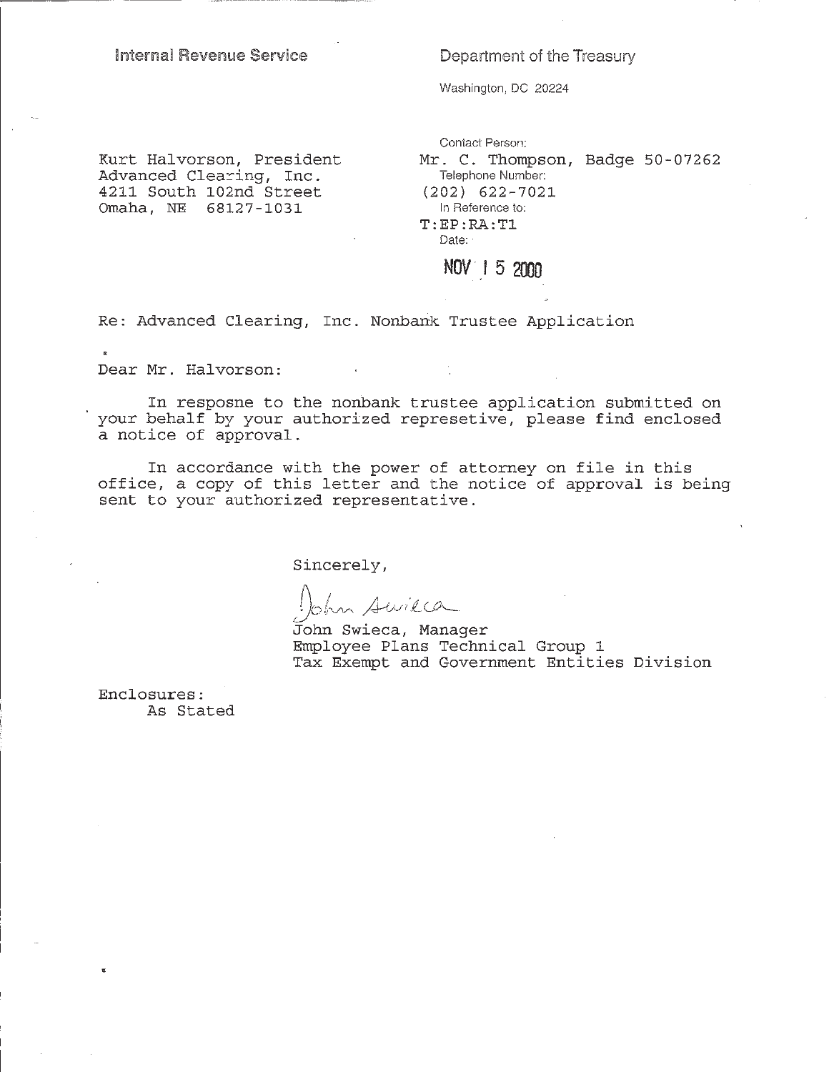### Internal Revenue Service

Department of the Treasury

Washington, DC 20224

Kurt Halvorson, President Advanced Clearing, Inc. 4211 South 102nd Street Omaha, NE 68127-1031

Contact Person: Mr. C. Thompson, Badge 50-07262 Telephone Number:  $(202)$  622-7021 In Reference to:  $T:EP:RA:TL$ Date:

## NOV 1 5 2000

Re: Advanced Clearing, Inc. Nonbank Trustee Application

Dear Mr. Halvorson:

 $\mathbb{R}$ 

In resposne to the nonbank trustee application submitted on your behalf by your authorized represetive, please find enclosed a notice of approval.

In accordance with the power of attorney on file in this office, a copy of this letter and the notice of approval is being sent to your authorized representative.

Sincerely,

Swilca

John Swieca, Manager Employee Plans Technical Group 1 Tax Exempt and Government Entities Division

Enclosures: As Stated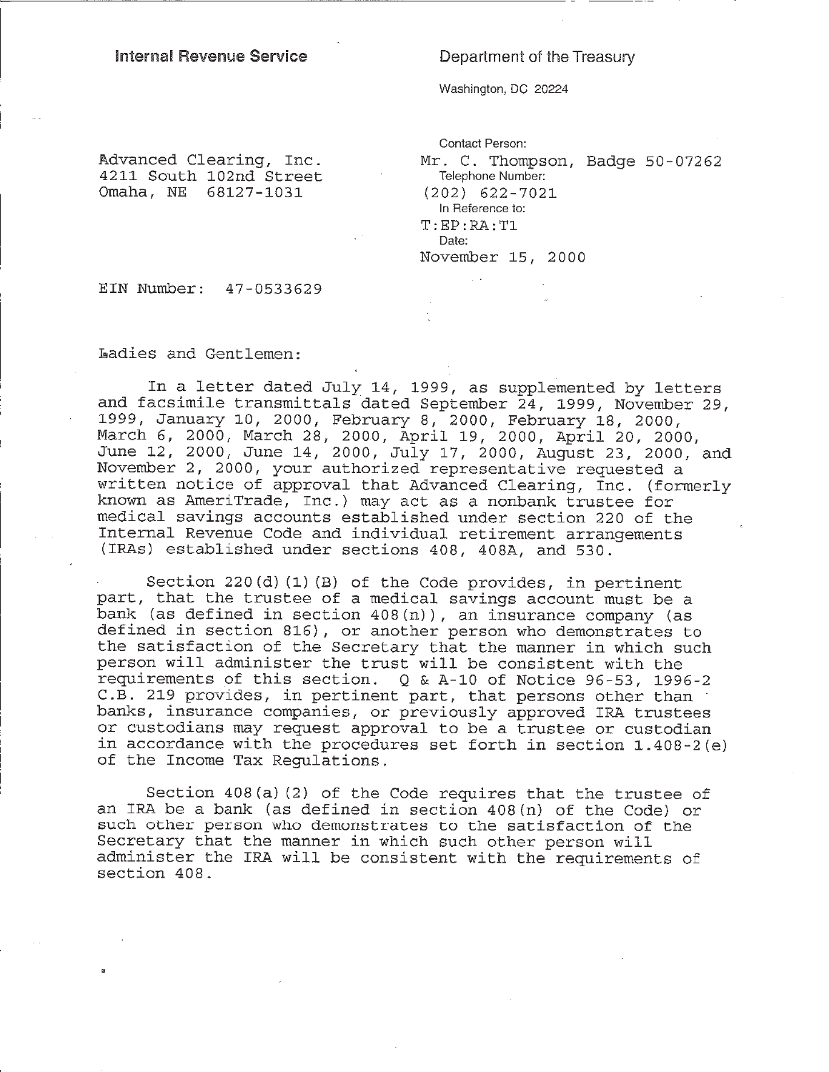### **Internal Revenue Service**

### Department of the Treasury

Washington, DC 20224

 $\sim$ 

Advanced Clearing, Inc. 4211 South 102nd Street Omaha, NE 68127-1031

Contact Person: Mr. C. Thompson, Badge 50-07262 Telephone Number:  $(202)$  622-7021 In Reference to:  $T:EP:RA:TL$ Date: November 15, 2000

EIN Number: 47-0533629

Ladies and Gentlemen:

In a letter dated July 14, 1999, as supplemented by letters and facsimile transmittals dated September 24, 1999, November 29, 1999, January 10, 2000, February 8, 2000, February 18, 2000,<br>March 6, 2000, March 28, 2000, April 19, 2000, April 20, 2000, June 12, 2000, June 14, 2000, July 17, 2000, August 23, 2000, and November 2, 2000, your authorized representative requested a written notice of approval that Advanced Clearing, Inc. (formerly known as AmeriTrade, Inc.) may act as a nonbank trustee for medical savings accounts established under section 220 of the Internal Revenue Code and individual retirement arrangements (IRAs) established under sections 408, 408A, and 530.

Section 220(d)(1)(B) of the Code provides, in pertinent part, that the trustee of a medical savings account must be a bank (as defined in section 408(n)), an insurance company (as defined in section 816), or another person who demonstrates to the satisfaction of the Secretary that the manner in which such person will administer the trust will be consistent with the requirements of this section.  $Q & A-10$  of Notice 96-53, 1996-2 C.B. 219 provides, in pertinent part, that persons other than banks, insurance companies, or previously approved IRA trustees or custodians may request approval to be a trustee or custodian in accordance with the procedures set forth in section 1.408-2(e) of the Income Tax Regulations.

Section 408(a)(2) of the Code requires that the trustee of an IRA be a bank (as defined in section  $408(n)$  of the Code) or such other person who demonstrates to the satisfaction of the Secretary that the manner in which such other person will administer the IRA will be consistent with the requirements of section 408.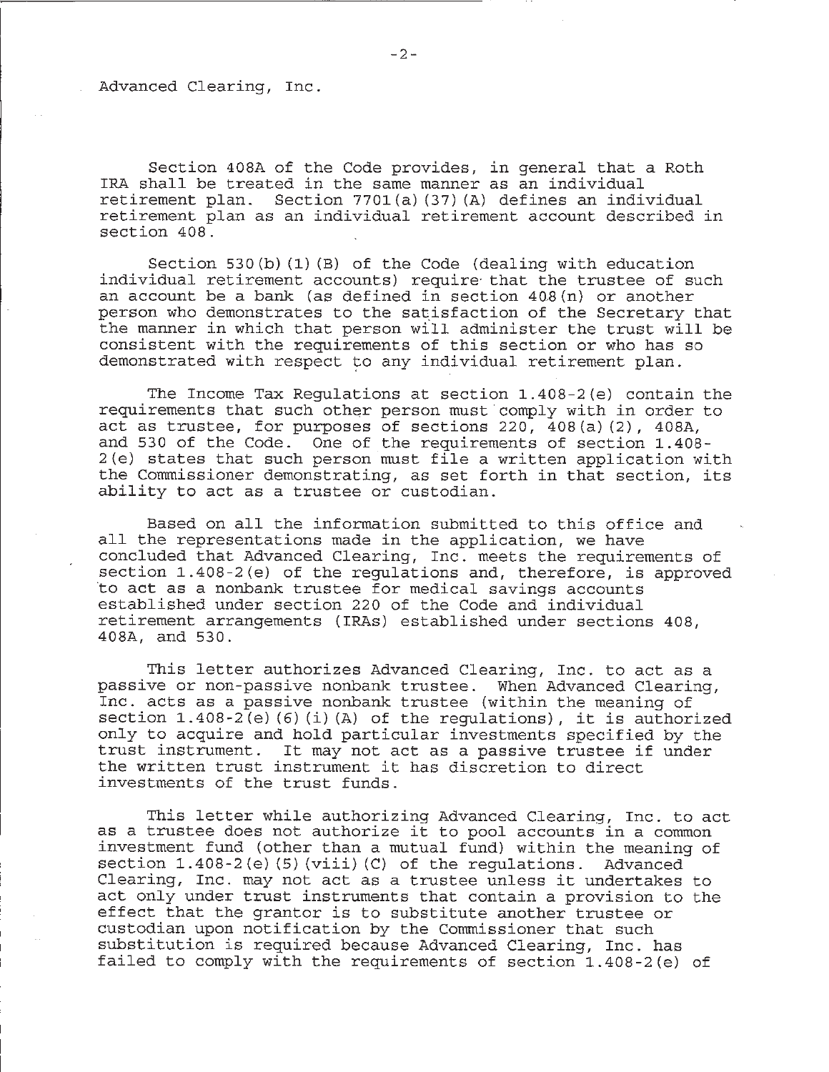Advanced Clearing, Inc.

Section 408A of the Code provides, in general that a Roth IRA shall be treated in the same manner as an individual retirement plan. Section 7701(a) (37)(A) defines an individual retirement plan as an individual retirement account described in section 408.

Section 530(b)  $(1)$  (B) of the Code (dealing with education individual retirement accounts) require that the trustee of such an account be a bank (as defined in section  $408(n)$  or another person who demonstrates to the satisfaction of the Secretary that the manner in which that person will administer the trust will be consistent with the requirements of this section or who has so demonstrated with respect to any individual retirement plan.

The Income Tax Regulations at section 1.408-2(e) contain the requirements that such other person must comply with in order to act as trustee, for purposes of sections  $220, 408(a)(2)$ ,  $408A$ , and 530 of the Code. One of the requirements of section 1.408-2(e) states that such person must file a written application with the Commissioner demonstrating, as set forth in that section, its ability to act as a trustee or custodian.

Based on all the information submitted to this office and all the representations made in the application, we have concluded that Advanced Clearing, Inc. meets the requirements of section 1.408-2(e) of the regulations and, therefore, is approved to act as a nonbank trustee for medical savings accounts established under section 220 of the Code and individual retirement arrangements (IRAs) established under sections 408, 408A, and 530.

This letter authorizes Advanced Clearing, Inc. to act as a passive or non-passive nonbank trustee. When Advanced Clearing, Inc. acts as a passive nonbank trustee (within the meaning of section  $1.408-2(e)$  (6) (i) (A) of the regulations), it is authorized only to acquire and hold particular investments specified by the trust instrument. It may not act as a passive trustee if under the written trust instrument it has discretion to direct investments of the trust funds.

This letter while authorizing Advanced Clearing, Inc. to act as a trustee does not authorize it to pool accounts in a common investment fund (other than a mutual fund) within the meaning of section 1.408-2(e)(5)(viii)(C) of the regulations. Advanced Clearing, Inc. may not act as a trustee unless it undertakes to act only under trust instruments that contain a provision to the effect that the grantor is to substitute another trustee or custodian upon notification by the Commissioner that such substitution is required because Advanced Clearing, Inc. has failed to comply with the requirements of section 1.408-2(e) of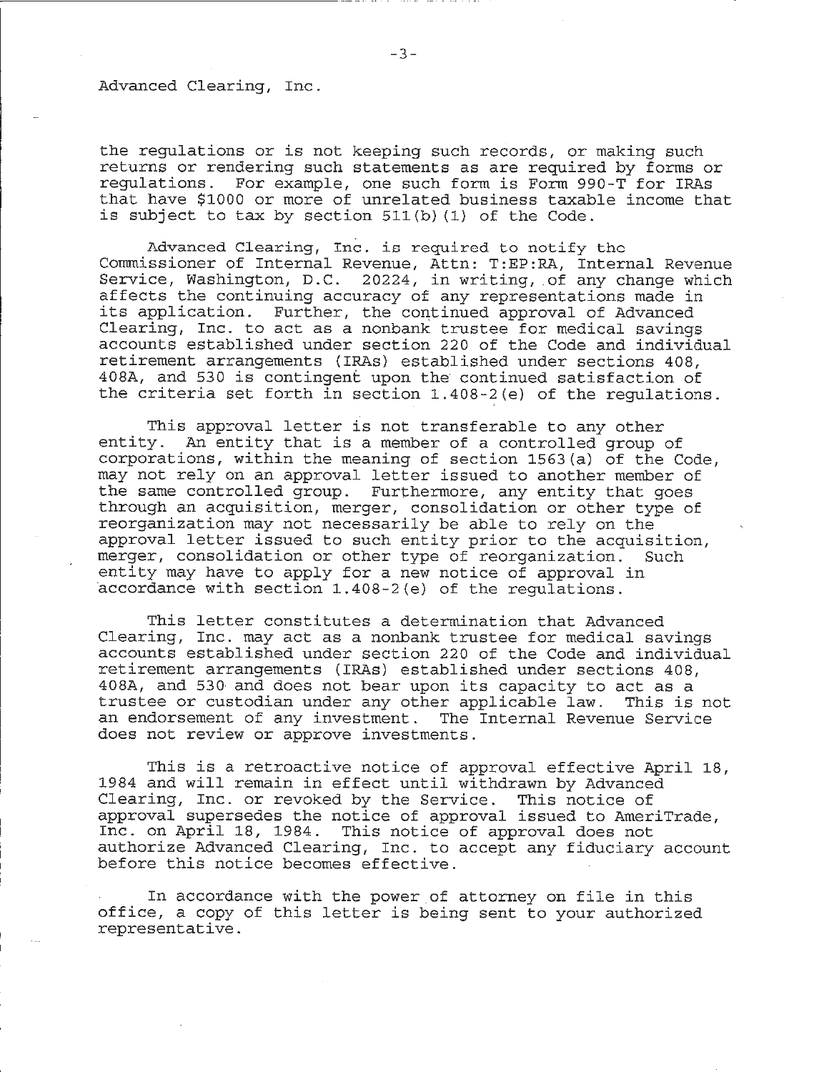### Advanced Clearing, Inc.

the regulations or is not keeping such records, or making such returns or rendering such statements as are required by forms or regulations. For example, one such form is Form 990-T for IRAs that have \$1000 or more of unrelated business taxable income that is subject to tax by section 511(b) (1) of the Code.

Advanced Clearing, Inc. is required to notify the Commissioner of Internal Revenue, Attn: T:EP:RA, Internal Revenue Service, Washington, D.C. 20224, in writing, of any change which affects the continuing accuracy of any representations made in its application. Further, the continued approval of Advanced Clearing, Inc. to act as a nonbank trustee for medical savings accounts established under section 220 of the Code and individual retirement arrangements (IRAs) established under sections 408, 408A, and 530 is contingent upon the continued satisfaction of the criteria set forth in section 1.408-2(e) of the regulations.

This approval letter is not transferable to any other entity. An entity that is a member of a controlled group of corporations, within the meaning of section 1563(a) of the Code, may not rely on an approval letter issued to another member of the same controlled group. Furthermore, any entity that goes through an acquisition, merger, consolidation or other type of reorganization may not necessarily be able to rely on the approval letter issued to such entity prior to the acquisition, merger, consolidation or other type of reorganization. Such entity may have to apply for a new notice of approval in accordance with section 1.408-2(e) of the requlations.

This letter constitutes a determination that Advanced Clearing, Inc. may act as a nonbank trustee for medical savings accounts established under section 220 of the Code and individual retirement arrangements (IRAs) established under sections 408, 408A, and 530 and does not bear upon its capacity to act as a trustee or custodian under any other applicable law. This is not an endorsement of any investment. The Internal Revenue Service does not review or approve investments.

This is a retroactive notice of approval effective April 18, 1984 and will remain in effect until withdrawn by Advanced Clearing, Inc. or revoked by the Service. This notice of approval supersedes the notice of approval issued to AmeriTrade, Inc. on April 18, 1984. This notice of approval does not authorize Advanced Clearing, Inc. to accept any fiduciary account before this notice becomes effective.

In accordance with the power of attorney on file in this office, a copy of this letter is being sent to your authorized representative.